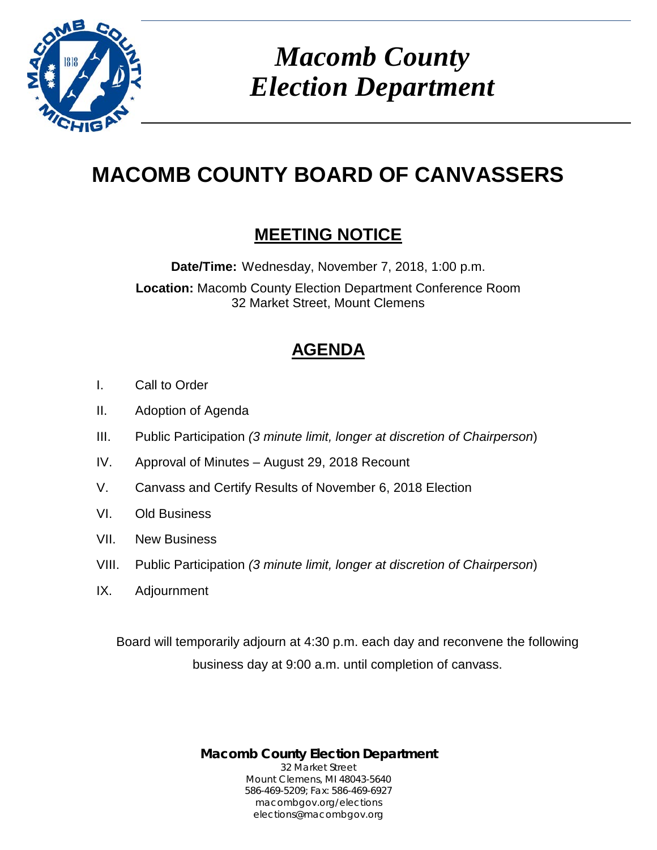

*Macomb County Election Department*

# **MACOMB COUNTY BOARD OF CANVASSERS**

### **MEETING NOTICE**

**Date/Time:** Wednesday, November 7, 2018, 1:00 p.m.

**Location:** Macomb County Election Department Conference Room 32 Market Street, Mount Clemens

## **AGENDA**

- I. Call to Order
- II. Adoption of Agenda
- III. Public Participation *(3 minute limit, longer at discretion of Chairperson*)
- IV. Approval of Minutes August 29, 2018 Recount
- V. Canvass and Certify Results of November 6, 2018 Election
- VI. Old Business
- VII. New Business
- VIII. Public Participation *(3 minute limit, longer at discretion of Chairperson*)
- IX. Adjournment

Board will temporarily adjourn at 4:30 p.m. each day and reconvene the following business day at 9:00 a.m. until completion of canvass.

> **Macomb County Election Department** 32 Market Street Mount Clemens, MI 48043-5640 586-469-5209; Fax: 586-469-6927 macombgov.org/elections elections@macombgov.org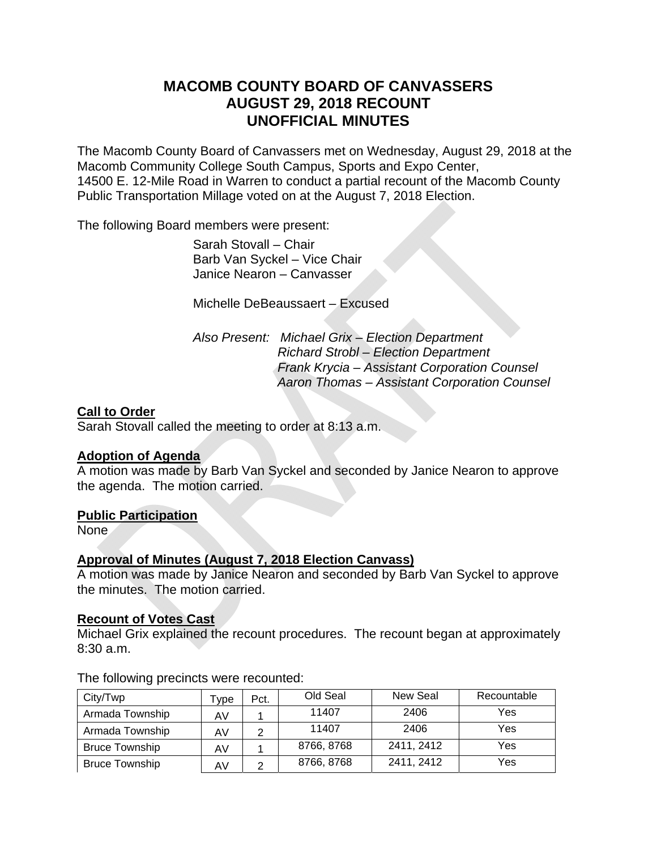### **MACOMB COUNTY BOARD OF CANVASSERS AUGUST 29, 2018 RECOUNT UNOFFICIAL MINUTES**

The Macomb County Board of Canvassers met on Wednesday, August 29, 2018 at the Macomb Community College South Campus, Sports and Expo Center, 14500 E. 12-Mile Road in Warren to conduct a partial recount of the Macomb County Public Transportation Millage voted on at the August 7, 2018 Election.

The following Board members were present:

 Sarah Stovall – Chair Barb Van Syckel – Vice Chair Janice Nearon – Canvasser

Michelle DeBeaussaert – Excused

 *Also Present: Michael Grix – Election Department Richard Strobl – Election Department Frank Krycia – Assistant Corporation Counsel Aaron Thomas – Assistant Corporation Counsel* 

#### **Call to Order**

Sarah Stovall called the meeting to order at 8:13 a.m.

#### **Adoption of Agenda**

A motion was made by Barb Van Syckel and seconded by Janice Nearon to approve the agenda. The motion carried.

#### **Public Participation**

None

#### **Approval of Minutes (August 7, 2018 Election Canvass)**

A motion was made by Janice Nearon and seconded by Barb Van Syckel to approve the minutes. The motion carried.

#### **Recount of Votes Cast**

Michael Grix explained the recount procedures. The recount began at approximately 8:30 a.m.

| City/Twp              | Tvpe | Pct. | Old Seal   | New Seal   | Recountable |
|-----------------------|------|------|------------|------------|-------------|
| Armada Township       | AV   |      | 11407      | 2406       | Yes         |
| Armada Township       | AV   | າ    | 11407      | 2406       | Yes         |
| <b>Bruce Township</b> | AV   |      | 8766, 8768 | 2411, 2412 | Yes         |
| <b>Bruce Township</b> | AV   | ⌒    | 8766, 8768 | 2411, 2412 | Yes         |

The following precincts were recounted: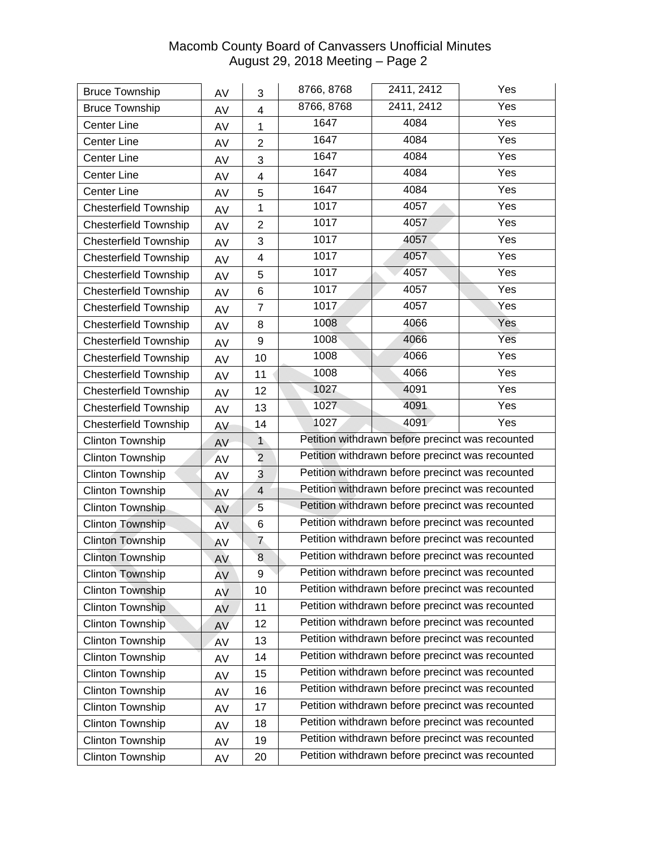| <b>Bruce Township</b>        | AV        | 3              | 8766, 8768                                       | 2411, 2412                                       | Yes               |  |
|------------------------------|-----------|----------------|--------------------------------------------------|--------------------------------------------------|-------------------|--|
| <b>Bruce Township</b>        | AV        | 4              | 8766, 8768                                       | 2411, 2412                                       | Yes               |  |
| <b>Center Line</b>           | AV        | 1              | 1647                                             | 4084                                             | Yes               |  |
| <b>Center Line</b>           | AV        | 2              | 1647                                             | 4084                                             | Yes               |  |
| <b>Center Line</b>           | AV        | 3              | 1647                                             | 4084                                             | Yes               |  |
| <b>Center Line</b>           | AV        | 4              | 1647                                             | 4084                                             | Yes               |  |
| <b>Center Line</b>           | AV        | 5              | 1647                                             | 4084                                             | Yes               |  |
| <b>Chesterfield Township</b> | AV        | $\mathbf 1$    | 1017                                             | 4057                                             | Yes               |  |
| <b>Chesterfield Township</b> | AV        | $\overline{2}$ | 1017                                             | 4057                                             | $\overline{Y}$ es |  |
| <b>Chesterfield Township</b> | AV        | 3              | 1017                                             | 4057                                             | Yes               |  |
| <b>Chesterfield Township</b> | AV        | 4              | 1017                                             | 4057                                             | Yes               |  |
| <b>Chesterfield Township</b> | AV        | 5              | 1017                                             | 4057                                             | Yes               |  |
| <b>Chesterfield Township</b> | AV        | 6              | 1017                                             | 4057                                             | Yes               |  |
| <b>Chesterfield Township</b> | AV        | $\overline{7}$ | 1017                                             | 4057                                             | Yes               |  |
| <b>Chesterfield Township</b> | AV        | 8              | 1008                                             | 4066                                             | Yes               |  |
| <b>Chesterfield Township</b> | AV        | 9              | 1008                                             | 4066                                             | Yes               |  |
| <b>Chesterfield Township</b> | AV        | 10             | 1008                                             | 4066                                             | Yes               |  |
| <b>Chesterfield Township</b> | AV        | 11             | 1008                                             | 4066                                             | Yes               |  |
| <b>Chesterfield Township</b> | AV        | 12             | 1027                                             | 4091                                             | Yes               |  |
| <b>Chesterfield Township</b> | AV        | 13             | 1027                                             | 4091                                             | Yes               |  |
| <b>Chesterfield Township</b> | AV        | 14             | 1027                                             | 4091                                             | Yes               |  |
| <b>Clinton Township</b>      | AV        | $\mathbf{1}$   | Petition withdrawn before precinct was recounted |                                                  |                   |  |
| <b>Clinton Township</b>      | <b>AV</b> | $\overline{2}$ | Petition withdrawn before precinct was recounted |                                                  |                   |  |
| <b>Clinton Township</b>      | AV        | 3              | Petition withdrawn before precinct was recounted |                                                  |                   |  |
| <b>Clinton Township</b>      | AV        | $\overline{4}$ | Petition withdrawn before precinct was recounted |                                                  |                   |  |
| Clinton Township             | AV        | 5              | Petition withdrawn before precinct was recounted |                                                  |                   |  |
| <b>Clinton Township</b>      | <b>AV</b> | 6              | Petition withdrawn before precinct was recounted |                                                  |                   |  |
| <b>Clinton Township</b>      | AV        | $\overline{7}$ | Petition withdrawn before precinct was recounted |                                                  |                   |  |
| <b>Clinton Township</b>      | AV        | 8              |                                                  | Petition withdrawn before precinct was recounted |                   |  |
| <b>Clinton Township</b>      | AV        | 9              |                                                  | Petition withdrawn before precinct was recounted |                   |  |
| <b>Clinton Township</b>      | AV        | 10             |                                                  | Petition withdrawn before precinct was recounted |                   |  |
| <b>Clinton Township</b>      | AV        | 11             |                                                  | Petition withdrawn before precinct was recounted |                   |  |
| Clinton Township             | AV        | 12             |                                                  | Petition withdrawn before precinct was recounted |                   |  |
| Clinton Township             | AV        | 13             |                                                  | Petition withdrawn before precinct was recounted |                   |  |
| Clinton Township             | AV        | 14             |                                                  | Petition withdrawn before precinct was recounted |                   |  |
| Clinton Township             | AV        | 15             |                                                  | Petition withdrawn before precinct was recounted |                   |  |
| <b>Clinton Township</b>      | AV        | 16             |                                                  | Petition withdrawn before precinct was recounted |                   |  |
| Clinton Township             | AV        | 17             |                                                  | Petition withdrawn before precinct was recounted |                   |  |
| Clinton Township             | AV        | 18             |                                                  | Petition withdrawn before precinct was recounted |                   |  |
| <b>Clinton Township</b>      | AV        | 19             |                                                  | Petition withdrawn before precinct was recounted |                   |  |
| Clinton Township             | AV        | 20             |                                                  | Petition withdrawn before precinct was recounted |                   |  |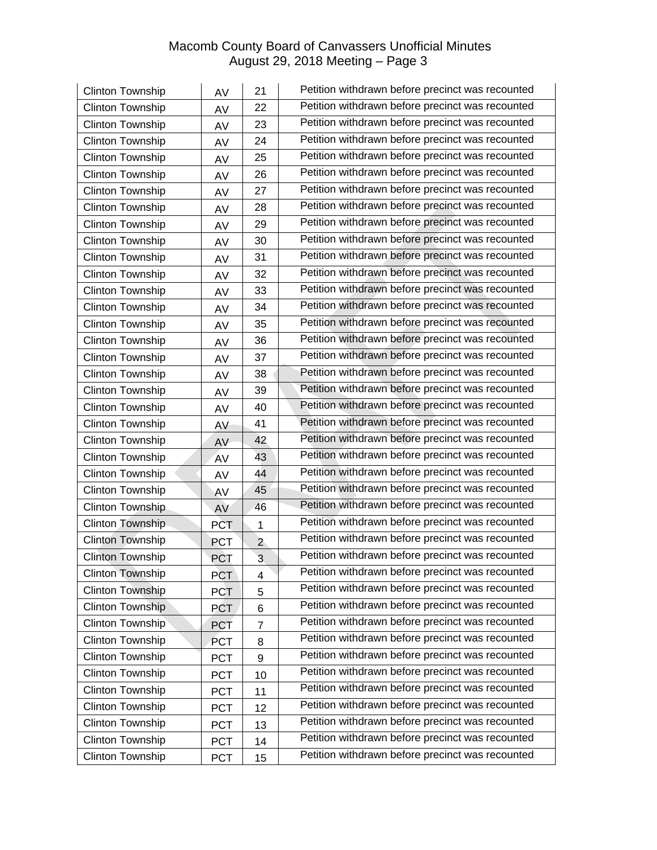| Clinton Township        | AV         | 21             | Petition withdrawn before precinct was recounted |
|-------------------------|------------|----------------|--------------------------------------------------|
| Clinton Township        | AV         | 22             | Petition withdrawn before precinct was recounted |
| Clinton Township        | AV         | 23             | Petition withdrawn before precinct was recounted |
| Clinton Township        | AV         | 24             | Petition withdrawn before precinct was recounted |
| Clinton Township        | AV         | 25             | Petition withdrawn before precinct was recounted |
| <b>Clinton Township</b> | AV         | 26             | Petition withdrawn before precinct was recounted |
| <b>Clinton Township</b> | AV         | 27             | Petition withdrawn before precinct was recounted |
| Clinton Township        | AV         | 28             | Petition withdrawn before precinct was recounted |
| <b>Clinton Township</b> | AV         | 29             | Petition withdrawn before precinct was recounted |
| <b>Clinton Township</b> | AV         | 30             | Petition withdrawn before precinct was recounted |
| Clinton Township        | AV         | 31             | Petition withdrawn before precinct was recounted |
| Clinton Township        | AV         | 32             | Petition withdrawn before precinct was recounted |
| Clinton Township        | AV         | 33             | Petition withdrawn before precinct was recounted |
| Clinton Township        | AV         | 34             | Petition withdrawn before precinct was recounted |
| Clinton Township        | AV         | 35             | Petition withdrawn before precinct was recounted |
| Clinton Township        | AV         | 36             | Petition withdrawn before precinct was recounted |
| Clinton Township        | AV         | 37             | Petition withdrawn before precinct was recounted |
| Clinton Township        | AV         | 38             | Petition withdrawn before precinct was recounted |
| Clinton Township        | AV         | 39             | Petition withdrawn before precinct was recounted |
| <b>Clinton Township</b> | AV         | 40             | Petition withdrawn before precinct was recounted |
| Clinton Township        | AV         | 41             | Petition withdrawn before precinct was recounted |
| Clinton Township        | AV         | 42             | Petition withdrawn before precinct was recounted |
| Clinton Township        | AV         | 43             | Petition withdrawn before precinct was recounted |
| Clinton Township        | AV         | 44             | Petition withdrawn before precinct was recounted |
| Clinton Township        | AV         | 45             | Petition withdrawn before precinct was recounted |
| Clinton Township        | AV         | 46             | Petition withdrawn before precinct was recounted |
| <b>Clinton Township</b> | <b>PCT</b> | $\mathbf 1$    | Petition withdrawn before precinct was recounted |
| <b>Clinton Township</b> | <b>PCT</b> | $\overline{a}$ | Petition withdrawn before precinct was recounted |
| <b>Clinton Township</b> | PCT        | $\overline{3}$ | Petition withdrawn before precinct was recounted |
| <b>Clinton Township</b> | <b>PCT</b> | 4              | Petition withdrawn before precinct was recounted |
| <b>Clinton Township</b> | <b>PCT</b> | 5              | Petition withdrawn before precinct was recounted |
| <b>Clinton Township</b> | <b>PCT</b> | 6              | Petition withdrawn before precinct was recounted |
| <b>Clinton Township</b> | <b>PCT</b> | $\overline{7}$ | Petition withdrawn before precinct was recounted |
| Clinton Township        | PCT        | 8              | Petition withdrawn before precinct was recounted |
| Clinton Township        | <b>PCT</b> | 9              | Petition withdrawn before precinct was recounted |
| Clinton Township        | <b>PCT</b> | 10             | Petition withdrawn before precinct was recounted |
| Clinton Township        | <b>PCT</b> | 11             | Petition withdrawn before precinct was recounted |
| Clinton Township        | <b>PCT</b> | 12             | Petition withdrawn before precinct was recounted |
| Clinton Township        | <b>PCT</b> | 13             | Petition withdrawn before precinct was recounted |
| Clinton Township        | <b>PCT</b> | 14             | Petition withdrawn before precinct was recounted |
| Clinton Township        | <b>PCT</b> | 15             | Petition withdrawn before precinct was recounted |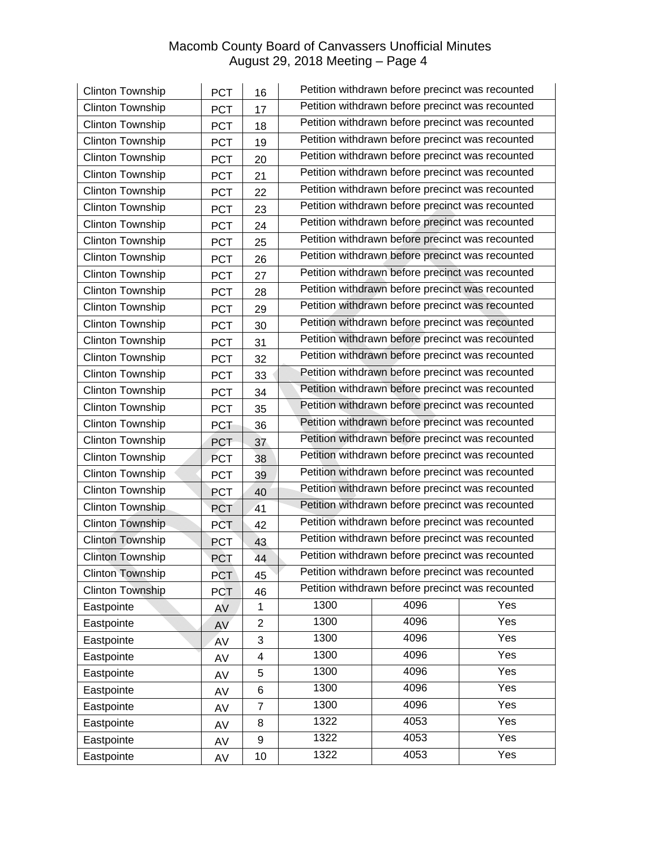| <b>Clinton Township</b> | <b>PCT</b> | 16             |                                                  | Petition withdrawn before precinct was recounted |     |  |  |
|-------------------------|------------|----------------|--------------------------------------------------|--------------------------------------------------|-----|--|--|
| Clinton Township        | PCT        | 17             | Petition withdrawn before precinct was recounted |                                                  |     |  |  |
| Clinton Township        | <b>PCT</b> | 18             | Petition withdrawn before precinct was recounted |                                                  |     |  |  |
| Clinton Township        | <b>PCT</b> | 19             |                                                  | Petition withdrawn before precinct was recounted |     |  |  |
| Clinton Township        | <b>PCT</b> | 20             |                                                  | Petition withdrawn before precinct was recounted |     |  |  |
| Clinton Township        | <b>PCT</b> | 21             |                                                  | Petition withdrawn before precinct was recounted |     |  |  |
| Clinton Township        | <b>PCT</b> | 22             |                                                  | Petition withdrawn before precinct was recounted |     |  |  |
| <b>Clinton Township</b> | <b>PCT</b> | 23             |                                                  | Petition withdrawn before precinct was recounted |     |  |  |
| Clinton Township        | <b>PCT</b> | 24             |                                                  | Petition withdrawn before precinct was recounted |     |  |  |
| Clinton Township        | <b>PCT</b> | 25             |                                                  | Petition withdrawn before precinct was recounted |     |  |  |
| Clinton Township        | <b>PCT</b> | 26             |                                                  | Petition withdrawn before precinct was recounted |     |  |  |
| Clinton Township        | <b>PCT</b> | 27             |                                                  | Petition withdrawn before precinct was recounted |     |  |  |
| Clinton Township        | <b>PCT</b> | 28             |                                                  | Petition withdrawn before precinct was recounted |     |  |  |
| Clinton Township        | <b>PCT</b> | 29             |                                                  | Petition withdrawn before precinct was recounted |     |  |  |
| Clinton Township        | <b>PCT</b> | 30             |                                                  | Petition withdrawn before precinct was recounted |     |  |  |
| <b>Clinton Township</b> | <b>PCT</b> | 31             |                                                  | Petition withdrawn before precinct was recounted |     |  |  |
| Clinton Township        | <b>PCT</b> | 32             | Petition withdrawn before precinct was recounted |                                                  |     |  |  |
| Clinton Township        | <b>PCT</b> | 33             | Petition withdrawn before precinct was recounted |                                                  |     |  |  |
| Clinton Township        | <b>PCT</b> | 34             | Petition withdrawn before precinct was recounted |                                                  |     |  |  |
| Clinton Township        | <b>PCT</b> | 35             | Petition withdrawn before precinct was recounted |                                                  |     |  |  |
| Clinton Township        | <b>PCT</b> | 36             | Petition withdrawn before precinct was recounted |                                                  |     |  |  |
| <b>Clinton Township</b> | <b>PCT</b> | 37             | Petition withdrawn before precinct was recounted |                                                  |     |  |  |
| Clinton Township        | <b>PCT</b> | 38             | Petition withdrawn before precinct was recounted |                                                  |     |  |  |
| Clinton Township        | <b>PCT</b> | 39             | Petition withdrawn before precinct was recounted |                                                  |     |  |  |
| Clinton Township        | <b>PCT</b> | 40             | Petition withdrawn before precinct was recounted |                                                  |     |  |  |
| Clinton Township        | <b>PCT</b> | 41             | Petition withdrawn before precinct was recounted |                                                  |     |  |  |
| <b>Clinton Township</b> | <b>PCT</b> | 42             |                                                  | Petition withdrawn before precinct was recounted |     |  |  |
| <b>Clinton Township</b> | PCT        | 43             |                                                  | Petition withdrawn before precinct was recounted |     |  |  |
| <b>Clinton Township</b> | <b>PCT</b> | 44             |                                                  | Petition withdrawn before precinct was recounted |     |  |  |
| <b>Clinton Township</b> | <b>PCT</b> | 45             |                                                  | Petition withdrawn before precinct was recounted |     |  |  |
| <b>Clinton Township</b> | <b>PCT</b> | 46             |                                                  | Petition withdrawn before precinct was recounted |     |  |  |
| Eastpointe              | AV         | 1              | 1300                                             | 4096                                             | Yes |  |  |
| Eastpointe              | AV         | $\overline{2}$ | 1300                                             | 4096                                             | Yes |  |  |
| Eastpointe              | AV         | 3              | 1300                                             | 4096                                             | Yes |  |  |
| Eastpointe              | AV         | 4              | 1300                                             | 4096                                             | Yes |  |  |
| Eastpointe              | AV         | 5              | 1300                                             | 4096                                             | Yes |  |  |
| Eastpointe              | AV         | 6              | 1300                                             | 4096                                             | Yes |  |  |
| Eastpointe              | AV         | 7              | 1300                                             | 4096                                             | Yes |  |  |
| Eastpointe              | AV         | 8              | 1322                                             | 4053                                             | Yes |  |  |
| Eastpointe              | AV         | 9              | 1322                                             | 4053                                             | Yes |  |  |
| Eastpointe              | AV         | 10             | 1322                                             | 4053                                             | Yes |  |  |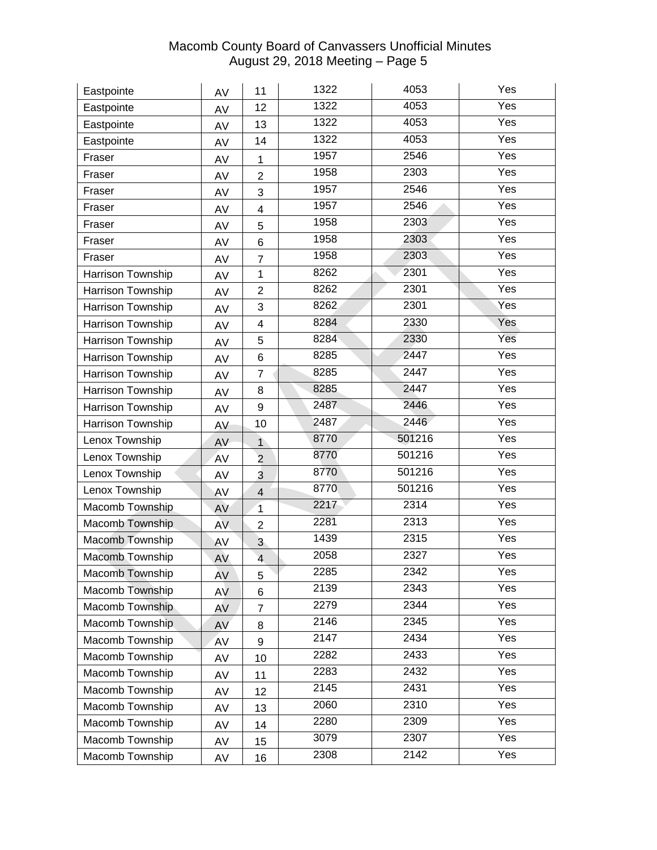| Eastpointe               | AV  | 11                      | 1322 | 4053   | Yes               |
|--------------------------|-----|-------------------------|------|--------|-------------------|
| Eastpointe               | AV  | 12                      | 1322 | 4053   | Yes               |
| Eastpointe               | AV  | 13                      | 1322 | 4053   | Yes               |
| Eastpointe               | AV  | 14                      | 1322 | 4053   | $\overline{Yes}$  |
| Fraser                   | AV  | 1                       | 1957 | 2546   | Yes               |
| Fraser                   | AV  | 2                       | 1958 | 2303   | Yes               |
| Fraser                   | AV  | 3                       | 1957 | 2546   | Yes               |
| Fraser                   | AV  | $\overline{4}$          | 1957 | 2546   | Yes               |
| Fraser                   | AV  | 5                       | 1958 | 2303   | Yes               |
| Fraser                   | AV  | 6                       | 1958 | 2303   | $\overline{Yes}$  |
| Fraser                   | AV  | $\overline{7}$          | 1958 | 2303   | Yes               |
| Harrison Township        | AV  | 1                       | 8262 | 2301   | Yes               |
| Harrison Township        | AV  | $\overline{2}$          | 8262 | 2301   | Yes               |
| Harrison Township        | AV  | 3                       | 8262 | 2301   | Yes               |
| Harrison Township        | AV  | 4                       | 8284 | 2330   | Yes               |
| Harrison Township        | AV  | 5                       | 8284 | 2330   | Yes               |
| Harrison Township        | AV  | 6                       | 8285 | 2447   | Yes               |
| <b>Harrison Township</b> | AV  | $\overline{7}$          | 8285 | 2447   | Yes               |
| Harrison Township        | AV  | 8                       | 8285 | 2447   | Yes               |
| Harrison Township        | AV  | 9                       | 2487 | 2446   | $\overline{Y}$ es |
| Harrison Township        | AV  | 10                      | 2487 | 2446   | Yes               |
| Lenox Township           | AV  | $\mathbf{1}$            | 8770 | 501216 | Yes               |
| Lenox Township           | AV  | $\overline{2}$          | 8770 | 501216 | $\overline{Yes}$  |
| Lenox Township           | AV  | 3                       | 8770 | 501216 | Yes               |
| Lenox Township           | AV  | $\overline{\mathbf{4}}$ | 8770 | 501216 | Yes               |
| Macomb Township          | AV  | $\overline{1}$          | 2217 | 2314   | Yes               |
| Macomb Township          | AV. | $\overline{2}$          | 2281 | 2313   | Yes               |
| Macomb Township          | AV  | $\mathbf{3}$            | 1439 | 2315   | Yes               |
| Macomb Township          | AV  | $\overline{4}$          | 2058 | 2327   | Yes               |
| Macomb Township          | AV  | 5                       | 2285 | 2342   | Yes               |
| Macomb Township          | AV  | 6                       | 2139 | 2343   | Yes               |
| Macomb Township          | AV  | $\overline{7}$          | 2279 | 2344   | Yes               |
| Macomb Township          | AV  | 8                       | 2146 | 2345   | Yes               |
| Macomb Township          | AV  | 9                       | 2147 | 2434   | Yes               |
| Macomb Township          | AV  | 10                      | 2282 | 2433   | Yes               |
| Macomb Township          | AV  | 11                      | 2283 | 2432   | Yes               |
| Macomb Township          | AV  | 12                      | 2145 | 2431   | Yes               |
| Macomb Township          | AV  | 13                      | 2060 | 2310   | Yes               |
| Macomb Township          | AV  | 14                      | 2280 | 2309   | Yes               |
| Macomb Township          | AV  | 15                      | 3079 | 2307   | Yes               |
| Macomb Township          | AV  | 16                      | 2308 | 2142   | Yes               |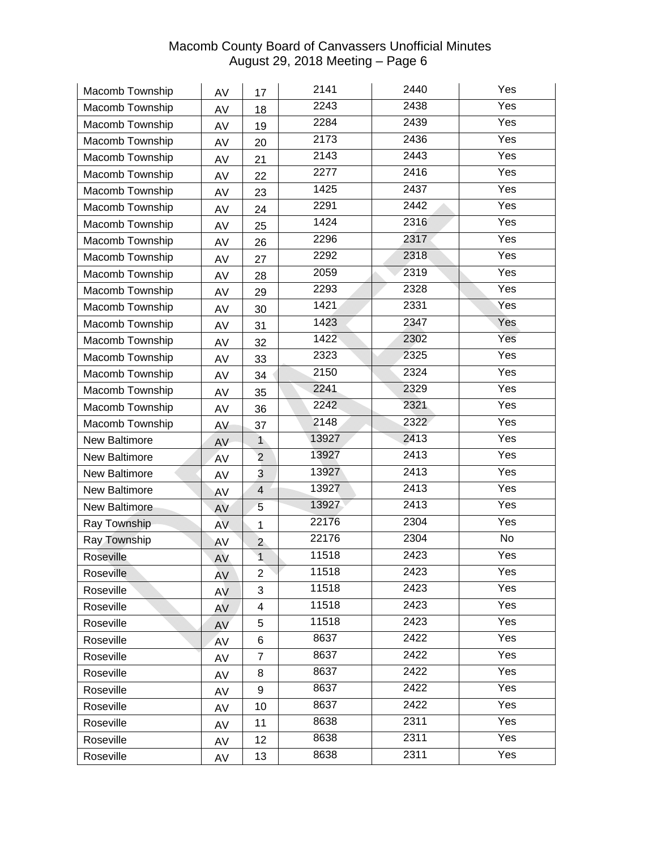| Macomb Township      | AV        | 17             | 2141  | 2440 | Yes              |
|----------------------|-----------|----------------|-------|------|------------------|
| Macomb Township      | AV        | 18             | 2243  | 2438 | Yes              |
| Macomb Township      | AV        | 19             | 2284  | 2439 | Yes              |
| Macomb Township      | AV        | 20             | 2173  | 2436 | Yes              |
| Macomb Township      | AV        | 21             | 2143  | 2443 | Yes              |
| Macomb Township      | AV        | 22             | 2277  | 2416 | Yes              |
| Macomb Township      | AV        | 23             | 1425  | 2437 | Yes              |
| Macomb Township      | AV        | 24             | 2291  | 2442 | Yes              |
| Macomb Township      | AV        | 25             | 1424  | 2316 | Yes              |
| Macomb Township      | AV        | 26             | 2296  | 2317 | Yes              |
| Macomb Township      | AV        | 27             | 2292  | 2318 | Yes              |
| Macomb Township      | AV        | 28             | 2059  | 2319 | Yes              |
| Macomb Township      | AV        | 29             | 2293  | 2328 | Yes              |
| Macomb Township      | AV        | 30             | 1421  | 2331 | Yes              |
| Macomb Township      | AV        | 31             | 1423  | 2347 | Yes              |
| Macomb Township      | AV        | 32             | 1422  | 2302 | Yes              |
| Macomb Township      | AV        | 33             | 2323  | 2325 | $\overline{Yes}$ |
| Macomb Township      | AV        | 34             | 2150  | 2324 | Yes              |
| Macomb Township      | AV        | 35             | 2241  | 2329 | Yes              |
| Macomb Township      | AV        | 36             | 2242  | 2321 | Yes              |
| Macomb Township      | AV        | 37             | 2148  | 2322 | Yes              |
| New Baltimore        | AV        | $\mathbf{1}$   | 13927 | 2413 | Yes              |
| New Baltimore        | AV        | $\overline{2}$ | 13927 | 2413 | Yes              |
| New Baltimore        | AV        | 3              | 13927 | 2413 | Yes              |
| <b>New Baltimore</b> | AV        | $\overline{4}$ | 13927 | 2413 | Yes              |
| New Baltimore        | AV        | 5              | 13927 | 2413 | Yes              |
| Ray Township         | AV.       | $\mathbf{1}$   | 22176 | 2304 | Yes              |
| Ray Township         | AV        | $\overline{a}$ | 22176 | 2304 | No               |
| Roseville            | AV        | $\overline{1}$ | 11518 | 2423 | Yes              |
| Roseville            | AV        | $\overline{2}$ | 11518 | 2423 | Yes              |
| Roseville            | AV        | 3              | 11518 | 2423 | Yes              |
| Roseville            | AV        | 4              | 11518 | 2423 | Yes              |
| Roseville            | AV        | 5              | 11518 | 2423 | Yes              |
| Roseville            | <b>AV</b> | 6              | 8637  | 2422 | Yes              |
| Roseville            | AV        | $\overline{7}$ | 8637  | 2422 | Yes              |
| Roseville            | AV        | 8              | 8637  | 2422 | Yes              |
| Roseville            | AV        | 9              | 8637  | 2422 | Yes              |
| Roseville            | AV        | 10             | 8637  | 2422 | Yes              |
| Roseville            | AV        | 11             | 8638  | 2311 | Yes              |
| Roseville            | AV        | 12             | 8638  | 2311 | Yes              |
| Roseville            | AV        | 13             | 8638  | 2311 | Yes              |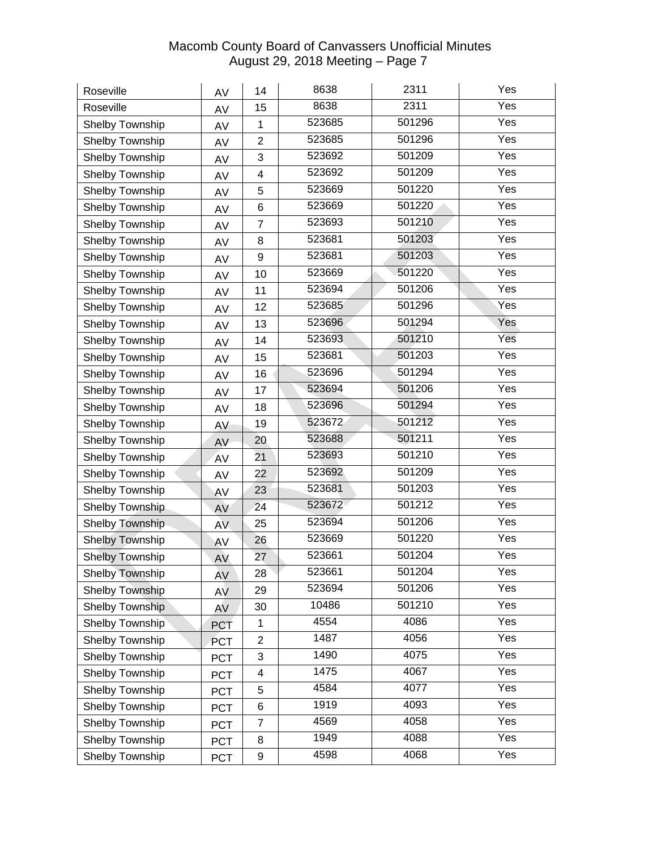| Roseville              | AV         | 14             | 8638   | 2311   | Yes               |
|------------------------|------------|----------------|--------|--------|-------------------|
| Roseville              | AV         | 15             | 8638   | 2311   | Yes               |
| Shelby Township        | AV         | $\mathbf 1$    | 523685 | 501296 | Yes               |
| Shelby Township        | AV         | $\overline{2}$ | 523685 | 501296 | Yes               |
| Shelby Township        | AV         | 3              | 523692 | 501209 | Yes               |
| Shelby Township        | AV         | 4              | 523692 | 501209 | Yes               |
| Shelby Township        | AV         | 5              | 523669 | 501220 | Yes               |
| Shelby Township        | AV         | 6              | 523669 | 501220 | Yes               |
| Shelby Township        | AV         | $\overline{7}$ | 523693 | 501210 | Yes               |
| Shelby Township        | AV         | 8              | 523681 | 501203 | Yes               |
| Shelby Township        | AV         | 9              | 523681 | 501203 | Yes               |
| Shelby Township        | AV         | 10             | 523669 | 501220 | Yes               |
| Shelby Township        | AV         | 11             | 523694 | 501206 | Yes               |
| Shelby Township        | AV         | 12             | 523685 | 501296 | $\bar{Y}$ es      |
| Shelby Township        | AV         | 13             | 523696 | 501294 | Yes               |
| Shelby Township        | AV         | 14             | 523693 | 501210 | Yes               |
| Shelby Township        | AV         | 15             | 523681 | 501203 | Yes               |
| Shelby Township        | AV         | 16             | 523696 | 501294 | Yes               |
| Shelby Township        | AV         | 17             | 523694 | 501206 | Yes               |
| Shelby Township        | AV         | 18             | 523696 | 501294 | Yes               |
| Shelby Township        | AV         | 19             | 523672 | 501212 | Yes               |
| Shelby Township        | AV         | 20             | 523688 | 501211 | Yes               |
| Shelby Township        | AV         | 21             | 523693 | 501210 | Yes               |
| Shelby Township        | AV         | 22             | 523692 | 501209 | Yes               |
| Shelby Township        | AV         | 23             | 523681 | 501203 | Yes               |
| Shelby Township        | AV         | 24             | 523672 | 501212 | Yes               |
| Shelby Township        | <b>AV</b>  | 25             | 523694 | 501206 | Yes               |
| <b>Shelby Township</b> | AV         | 26             | 523669 | 501220 | Yes               |
| <b>Shelby Township</b> | AV         | 27             | 523661 | 501204 | $\overline{Y}$ es |
| <b>Shelby Township</b> | AV         | 28             | 523661 | 501204 | Yes               |
| Shelby Township        | AV         | 29             | 523694 | 501206 | Yes               |
| Shelby Township        | AV         | 30             | 10486  | 501210 | Yes               |
| Shelby Township        | <b>PCT</b> | 1              | 4554   | 4086   | Yes               |
| Shelby Township        | <b>PCT</b> | $\overline{2}$ | 1487   | 4056   | Yes               |
| Shelby Township        | <b>PCT</b> | 3              | 1490   | 4075   | Yes               |
| Shelby Township        | <b>PCT</b> | 4              | 1475   | 4067   | Yes               |
| Shelby Township        | <b>PCT</b> | 5              | 4584   | 4077   | Yes               |
| Shelby Township        | <b>PCT</b> | 6              | 1919   | 4093   | Yes               |
| Shelby Township        | <b>PCT</b> | $\overline{7}$ | 4569   | 4058   | Yes               |
| Shelby Township        | <b>PCT</b> | 8              | 1949   | 4088   | Yes               |
| Shelby Township        | <b>PCT</b> | 9              | 4598   | 4068   | Yes               |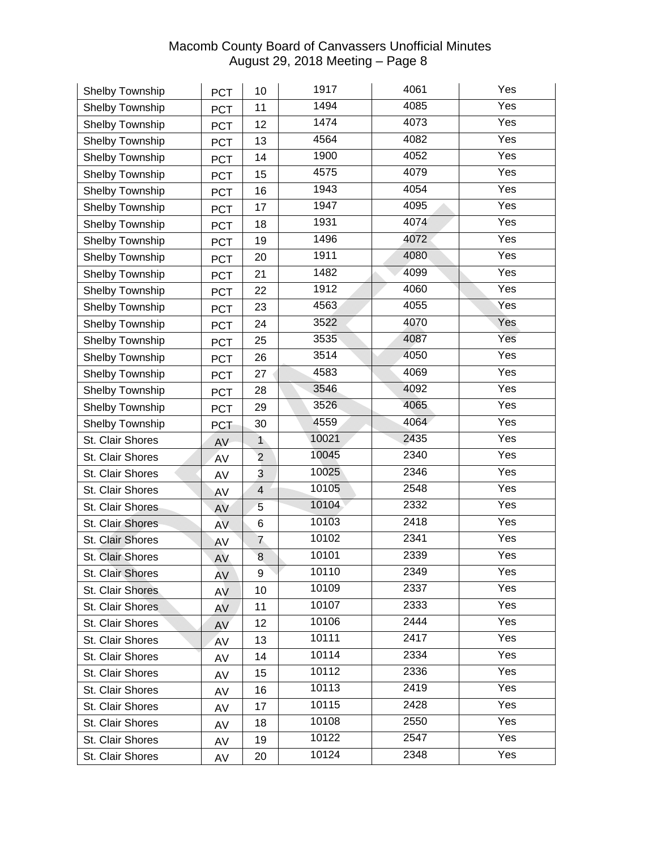| Shelby Township  | <b>PCT</b> | 10             | 1917  | 4061 | Yes |
|------------------|------------|----------------|-------|------|-----|
| Shelby Township  | <b>PCT</b> | 11             | 1494  | 4085 | Yes |
| Shelby Township  | <b>PCT</b> | 12             | 1474  | 4073 | Yes |
| Shelby Township  | <b>PCT</b> | 13             | 4564  | 4082 | Yes |
| Shelby Township  | <b>PCT</b> | 14             | 1900  | 4052 | Yes |
| Shelby Township  | <b>PCT</b> | 15             | 4575  | 4079 | Yes |
| Shelby Township  | <b>PCT</b> | 16             | 1943  | 4054 | Yes |
| Shelby Township  | <b>PCT</b> | 17             | 1947  | 4095 | Yes |
| Shelby Township  | <b>PCT</b> | 18             | 1931  | 4074 | Yes |
| Shelby Township  | <b>PCT</b> | 19             | 1496  | 4072 | Yes |
| Shelby Township  | <b>PCT</b> | 20             | 1911  | 4080 | Yes |
| Shelby Township  | <b>PCT</b> | 21             | 1482  | 4099 | Yes |
| Shelby Township  | <b>PCT</b> | 22             | 1912  | 4060 | Yes |
| Shelby Township  | <b>PCT</b> | 23             | 4563  | 4055 | Yes |
| Shelby Township  | <b>PCT</b> | 24             | 3522  | 4070 | Yes |
| Shelby Township  | <b>PCT</b> | 25             | 3535  | 4087 | Yes |
| Shelby Township  | <b>PCT</b> | 26             | 3514  | 4050 | Yes |
| Shelby Township  | <b>PCT</b> | 27             | 4583  | 4069 | Yes |
| Shelby Township  | <b>PCT</b> | 28             | 3546  | 4092 | Yes |
| Shelby Township  | <b>PCT</b> | 29             | 3526  | 4065 | Yes |
| Shelby Township  | <b>PCT</b> | 30             | 4559  | 4064 | Yes |
| St. Clair Shores | AV         | $\mathbf{1}$   | 10021 | 2435 | Yes |
| St. Clair Shores | AV         | $\overline{2}$ | 10045 | 2340 | Yes |
| St. Clair Shores | AV         | 3              | 10025 | 2346 | Yes |
| St. Clair Shores | AV         | 4              | 10105 | 2548 | Yes |
| St. Clair Shores | AV         | 5              | 10104 | 2332 | Yes |
| St. Clair Shores | <b>AV</b>  | 6              | 10103 | 2418 | Yes |
| St. Clair Shores | AV         | 7              | 10102 | 2341 | Yes |
| St. Clair Shores | AV         | 8              | 10101 | 2339 | Yes |
| St. Clair Shores | AV         | 9              | 10110 | 2349 | Yes |
| St. Clair Shores | AV         | 10             | 10109 | 2337 | Yes |
| St. Clair Shores | AV         | 11             | 10107 | 2333 | Yes |
| St. Clair Shores | AV         | 12             | 10106 | 2444 | Yes |
| St. Clair Shores | <b>AV</b>  | 13             | 10111 | 2417 | Yes |
| St. Clair Shores | AV         | 14             | 10114 | 2334 | Yes |
| St. Clair Shores | AV         | 15             | 10112 | 2336 | Yes |
| St. Clair Shores | AV         | 16             | 10113 | 2419 | Yes |
| St. Clair Shores | AV         | 17             | 10115 | 2428 | Yes |
| St. Clair Shores | AV         | 18             | 10108 | 2550 | Yes |
| St. Clair Shores | AV         | 19             | 10122 | 2547 | Yes |
| St. Clair Shores | AV         | 20             | 10124 | 2348 | Yes |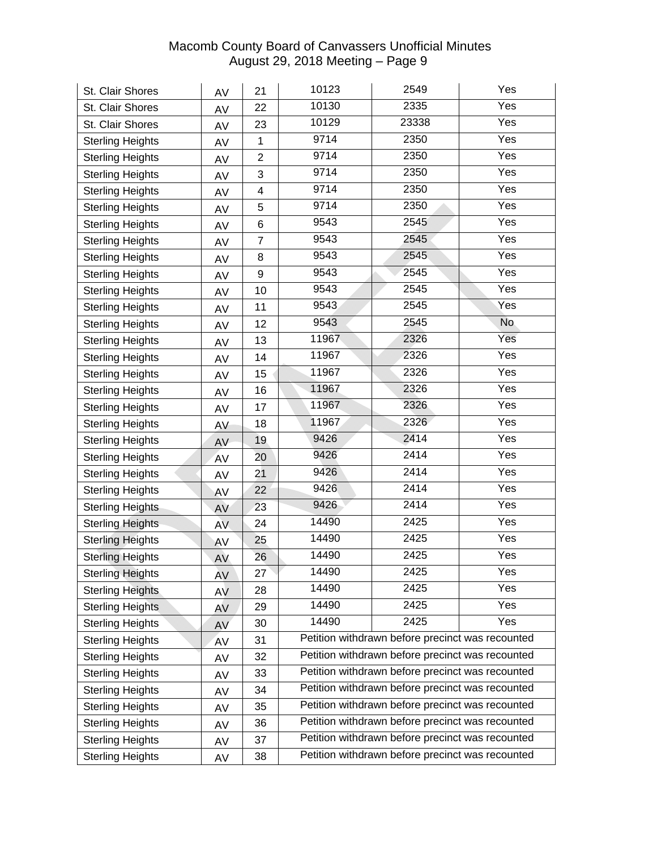| St. Clair Shores        | AV        | 21             | 10123                                            | 2549                                             | Yes               |  |
|-------------------------|-----------|----------------|--------------------------------------------------|--------------------------------------------------|-------------------|--|
| St. Clair Shores        | AV        | 22             | 10130                                            | 2335                                             | Yes               |  |
| St. Clair Shores        | AV        | 23             | 10129                                            | 23338                                            | Yes               |  |
| <b>Sterling Heights</b> | AV        | 1              | 9714                                             | 2350                                             | Yes               |  |
| <b>Sterling Heights</b> | AV        | $\overline{2}$ | 9714                                             | 2350                                             | Yes               |  |
| <b>Sterling Heights</b> | AV        | 3              | 9714                                             | 2350                                             | Yes               |  |
| <b>Sterling Heights</b> | AV        | 4              | 9714                                             | 2350                                             | Yes               |  |
| <b>Sterling Heights</b> | AV        | 5              | 9714                                             | 2350                                             | Yes               |  |
| <b>Sterling Heights</b> | AV        | 6              | 9543                                             | 2545                                             | Yes               |  |
| <b>Sterling Heights</b> | AV        | $\overline{7}$ | 9543                                             | 2545                                             | Yes               |  |
| <b>Sterling Heights</b> | AV        | 8              | 9543                                             | 2545                                             | Yes               |  |
| <b>Sterling Heights</b> | AV        | 9              | 9543                                             | 2545                                             | Yes               |  |
| <b>Sterling Heights</b> | AV        | 10             | 9543                                             | 2545                                             | Yes               |  |
| <b>Sterling Heights</b> | AV        | 11             | 9543                                             | 2545                                             | $\bar{Y}$ es      |  |
| <b>Sterling Heights</b> | AV        | 12             | 9543                                             | 2545                                             | <b>No</b>         |  |
| <b>Sterling Heights</b> | AV        | 13             | 11967                                            | 2326                                             | Yes               |  |
| <b>Sterling Heights</b> | AV        | 14             | 11967                                            | 2326                                             | Yes               |  |
| <b>Sterling Heights</b> | AV        | 15             | 11967                                            | 2326                                             | Yes               |  |
| <b>Sterling Heights</b> | AV        | 16             | 11967                                            | 2326                                             | Yes               |  |
| <b>Sterling Heights</b> | AV        | 17             | 11967                                            | 2326                                             | Yes               |  |
| <b>Sterling Heights</b> | AV        | 18             | 11967                                            | 2326                                             | Yes               |  |
| <b>Sterling Heights</b> | AV        | 19             | 9426                                             | 2414                                             | Yes               |  |
| <b>Sterling Heights</b> | AV        | 20             | 9426                                             | 2414                                             | Yes               |  |
| <b>Sterling Heights</b> | AV        | 21             | 9426                                             | 2414                                             | Yes               |  |
| <b>Sterling Heights</b> | AV        | 22             | 9426                                             | 2414                                             | Yes               |  |
| <b>Sterling Heights</b> | AV        | 23             | 9426                                             | 2414                                             | Yes               |  |
| <b>Sterling Heights</b> | <b>AV</b> | 24             | 14490                                            | 2425                                             | Yes               |  |
| <b>Sterling Heights</b> | AV        | 25             | 14490                                            | 2425                                             | Yes               |  |
| <b>Sterling Heights</b> | AV        | 26             | 14490                                            | 2425                                             | $\overline{Y}$ es |  |
| <b>Sterling Heights</b> | AV        | 27             | 14490                                            | 2425                                             | Yes               |  |
| <b>Sterling Heights</b> | AV        | 28             | 14490                                            | 2425                                             | Yes               |  |
| <b>Sterling Heights</b> | AV        | 29             | 14490                                            | 2425                                             | Yes               |  |
| <b>Sterling Heights</b> | AV        | 30             | 14490                                            | 2425                                             | Yes               |  |
| <b>Sterling Heights</b> | <b>AV</b> | 31             |                                                  | Petition withdrawn before precinct was recounted |                   |  |
| <b>Sterling Heights</b> | AV        | 32             |                                                  | Petition withdrawn before precinct was recounted |                   |  |
| <b>Sterling Heights</b> | AV        | 33             |                                                  | Petition withdrawn before precinct was recounted |                   |  |
| <b>Sterling Heights</b> | AV        | 34             |                                                  | Petition withdrawn before precinct was recounted |                   |  |
| <b>Sterling Heights</b> | AV        | 35             |                                                  | Petition withdrawn before precinct was recounted |                   |  |
| <b>Sterling Heights</b> | AV        | 36             |                                                  | Petition withdrawn before precinct was recounted |                   |  |
| <b>Sterling Heights</b> | AV        | 37             |                                                  | Petition withdrawn before precinct was recounted |                   |  |
| <b>Sterling Heights</b> | AV        | 38             | Petition withdrawn before precinct was recounted |                                                  |                   |  |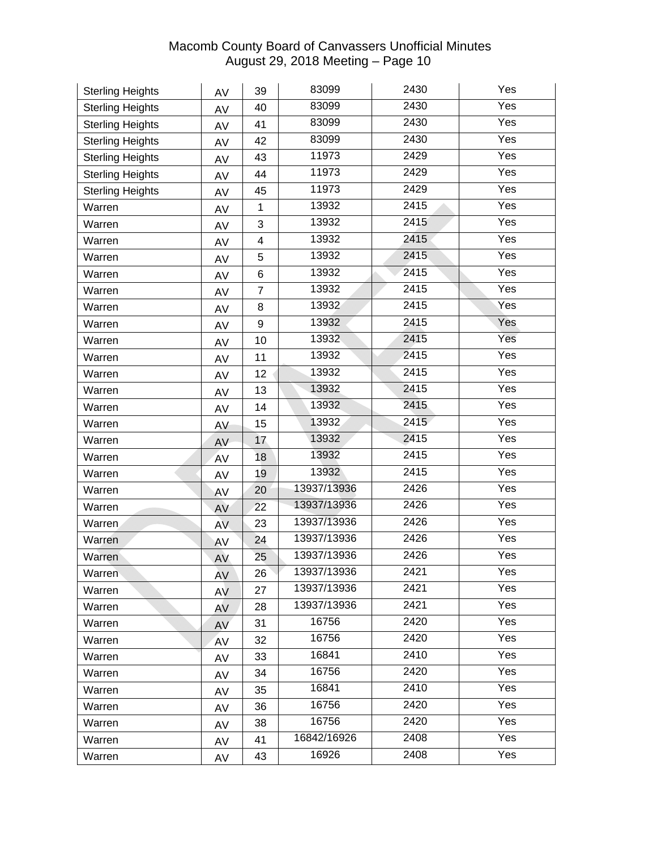| <b>Sterling Heights</b> | AV  | 39             | 83099       | 2430 | Yes               |
|-------------------------|-----|----------------|-------------|------|-------------------|
| <b>Sterling Heights</b> | AV  | 40             | 83099       | 2430 | Yes               |
| <b>Sterling Heights</b> | AV  | 41             | 83099       | 2430 | Yes               |
| <b>Sterling Heights</b> | AV  | 42             | 83099       | 2430 | Yes               |
| <b>Sterling Heights</b> | AV  | 43             | 11973       | 2429 | Yes               |
| <b>Sterling Heights</b> | AV  | 44             | 11973       | 2429 | Yes               |
| <b>Sterling Heights</b> | AV  | 45             | 11973       | 2429 | Yes               |
| Warren                  | AV  | 1              | 13932       | 2415 | Yes               |
| Warren                  | AV  | 3              | 13932       | 2415 | Yes               |
| Warren                  | AV  | 4              | 13932       | 2415 | Yes               |
| Warren                  | AV  | 5              | 13932       | 2415 | $\overline{Y}$ es |
| Warren                  | AV  | 6              | 13932       | 2415 | Yes               |
| Warren                  | AV  | $\overline{7}$ | 13932       | 2415 | Yes               |
| Warren                  | AV  | 8              | 13932       | 2415 | Yes               |
| Warren                  | AV  | 9              | 13932       | 2415 | Yes               |
| Warren                  | AV  | 10             | 13932       | 2415 | Yes               |
| Warren                  | AV  | 11             | 13932       | 2415 | Yes               |
| Warren                  | AV  | 12             | 13932       | 2415 | Yes               |
| Warren                  | AV  | 13             | 13932       | 2415 | Yes               |
| Warren                  | AV  | 14             | 13932       | 2415 | $\overline{Y}$ es |
| Warren                  | AV  | 15             | 13932       | 2415 | Yes               |
| Warren                  | AV  | 17             | 13932       | 2415 | Yes               |
| Warren                  | AV  | 18             | 13932       | 2415 | Yes               |
| Warren                  | AV  | 19             | 13932       | 2415 | Yes               |
| Warren                  | AV  | 20             | 13937/13936 | 2426 | Yes               |
| Warren                  | AV  | 22             | 13937/13936 | 2426 | Yes               |
| Warren                  | AV. | 23             | 13937/13936 | 2426 | Yes               |
| Warren                  | AV  | 24             | 13937/13936 | 2426 | Yes               |
| Warren                  | AV  | 25             | 13937/13936 | 2426 | Yes               |
| Warren                  | AV  | 26             | 13937/13936 | 2421 | Yes               |
| Warren                  | AV  | 27             | 13937/13936 | 2421 | Yes               |
| Warren                  | AV  | 28             | 13937/13936 | 2421 | Yes               |
| Warren                  | AV  | 31             | 16756       | 2420 | Yes               |
| Warren                  | AV  | 32             | 16756       | 2420 | Yes               |
| Warren                  | AV  | 33             | 16841       | 2410 | Yes               |
| Warren                  | AV  | 34             | 16756       | 2420 | Yes               |
| Warren                  | AV  | 35             | 16841       | 2410 | Yes               |
| Warren                  | AV  | 36             | 16756       | 2420 | Yes               |
| Warren                  | AV  | 38             | 16756       | 2420 | Yes               |
| Warren                  | AV  | 41             | 16842/16926 | 2408 | Yes               |
| Warren                  | AV  | 43             | 16926       | 2408 | Yes               |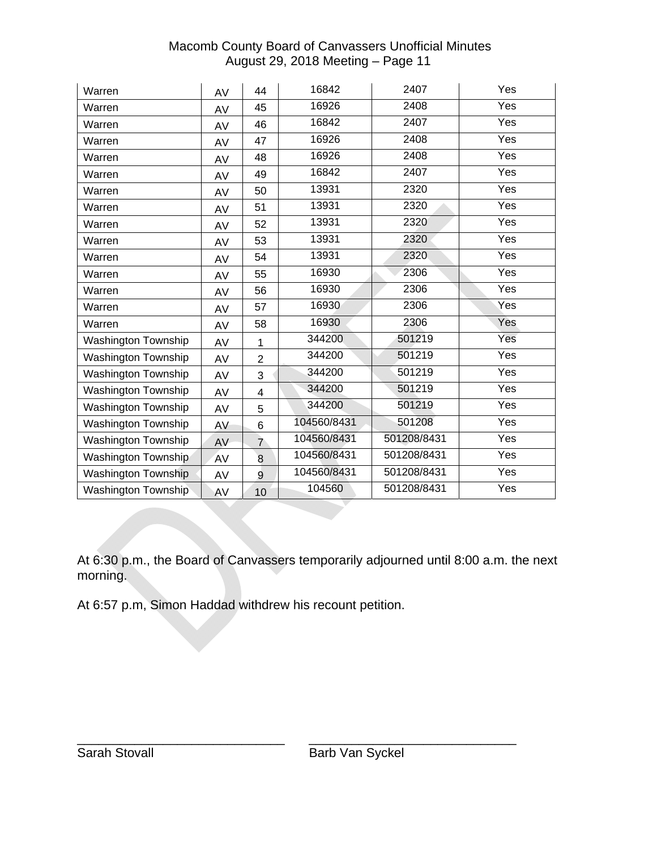| Warren                     | AV | 44             | 16842       | 2407        | Yes               |
|----------------------------|----|----------------|-------------|-------------|-------------------|
| Warren                     | AV | 45             | 16926       | 2408        | Yes               |
| Warren                     | AV | 46             | 16842       | 2407        | Yes               |
| Warren                     | AV | 47             | 16926       | 2408        | Yes               |
| Warren                     | AV | 48             | 16926       | 2408        | Yes               |
| Warren                     | AV | 49             | 16842       | 2407        | Yes               |
| Warren                     | AV | 50             | 13931       | 2320        | Yes               |
| Warren                     | AV | 51             | 13931       | 2320        | Yes               |
| Warren                     | AV | 52             | 13931       | 2320        | Yes               |
| Warren                     | AV | 53             | 13931       | 2320        | Yes               |
| Warren                     | AV | 54             | 13931       | 2320        | Yes               |
| Warren                     | AV | 55             | 16930       | 2306        | Yes               |
| Warren                     | AV | 56             | 16930       | 2306        | Yes               |
| Warren                     | AV | 57             | 16930       | 2306        | Yes               |
| Warren                     | AV | 58             | 16930       | 2306        | Yes               |
| <b>Washington Township</b> | AV | 1              | 344200      | 501219      | Yes               |
| <b>Washington Township</b> | AV | $\overline{2}$ | 344200      | 501219      | $\overline{Y}$ es |
| <b>Washington Township</b> | AV | 3              | 344200      | 501219      | Yes               |
| <b>Washington Township</b> | AV | 4              | 344200      | 501219      | Yes               |
| Washington Township        | AV | 5              | 344200      | 501219      | Yes               |
| Washington Township        | AV | 6              | 104560/8431 | 501208      | Yes               |
| Washington Township        | AV | $\overline{7}$ | 104560/8431 | 501208/8431 | Yes               |
| Washington Township        | AV | 8              | 104560/8431 | 501208/8431 | Yes               |
| Washington Township        | AV | 9              | 104560/8431 | 501208/8431 | Yes               |
| Washington Township        | AV | 10             | 104560      | 501208/8431 | Yes               |

At 6:30 p.m., the Board of Canvassers temporarily adjourned until 8:00 a.m. the next morning.

At 6:57 p.m, Simon Haddad withdrew his recount petition.